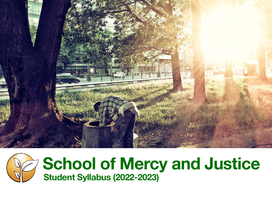



# **School of Mercy and Justice Student Syllabus (2022-2023)**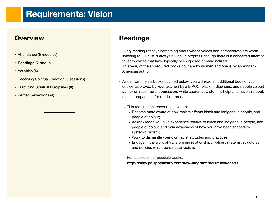## **Requirements: Vision**

### **Overview**

- Attendance (5 modules)
- **• Readings (7 books)**
- Activities (4)
- Receiving Spiritual Direction (6 sessions)
- Practicing Spiritual Disciplines (8)
- Written Reflections (4)

## **Readings**

- Every reading list says something about whose voices and perspectives are worth listening to. Our list is always a work in progress, though there is a concerted attempt to learn voices that have typically been ignored or marginalized.
- This year, of the six required books, four are by women and one is by an African-American author.
- Aside from the six books outlined below, you will read an additional book of your choice (approved by your teacher) by a BIPOC (black, Indigenous, and people colour) author on race, racial oppression, white supremacy, etc. It is helpful to have this book read in preparation for module three.
	- This requirement encourages you to:
		- Become more aware of how racism affects black and indigenous people, and people of colour;
		- Acknowledge you own experience relative to black and indigenous people, and people of colour, and gain awareness of how you have been shaped by systemic racism;
		- Work to dismantle your own racist attitudes and practices;
		- Engage in the work of transforming relationships, values, systems, structures, and policies which perpetuate racism;
	- **•** For a selection of possible books:

#### **<http://www.philippelazaro.com/new-blog/antiracismflowcharts>**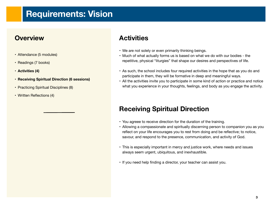## **Requirements: Vision**

#### **Overview**

- Attendance (5 modules)
- Readings (7 books)
- **• Activities (4)**
- **• Receiving Spiritual Direction (6 sessions)**
- Practicing Spiritual Disciplines (8)
- Written Reflections (4)

## **Activities**

- We are not solely or even primarily thinking beings.
- Much of what actually forms us is based on what we do with our bodies the repetitive, physical "liturgies" that shape our desires and perspectives of life.
- As such, the school includes four required activities in the hope that as you do and participate in them, they will be formative in deep and meaningful ways.
- All the activities invite you to participate in some kind of action or practice and notice what you experience in your thoughts, feelings, and body as you engage the activity.

### **Receiving Spiritual Direction**

- You agreee to receive direction for the duration of the training.
- Allowing a compassionate and spiritually discerning person to companion you as you reflect on your life encourages you to rest from doing and be reflective; to notice, savour, and respond to the presence, communication, and activity of God.
- This is especially important in mercy and justice work, where needs and issues always seem urgent, ubiquitous, and inexhaustible.
- If you need help finding a director, your teacher can assist you.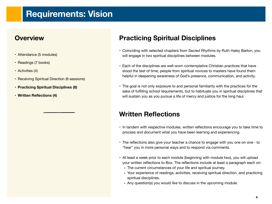## **Requirements: Vision**

#### **Overview**

- Attendance (5 modules)
- Readings (7 books)
- Activities (4)
- Receiving Spiritual Direction (6 sessions)
- **• Practicing Spiritual Disciplines (8)**
- **• Written Reflections (4)**

## **Practicing Spiritual Disciplines**

- Coinciding with selected chapters from *Sacred Rhythms* by Ruth Haley Barton, you will engage in two spiritual disciplines between modules.
- Each of the disciplines are well-worn contemplative Christian practices that have stood the test of time; people from spiritual novices to masters have found them helpful in deepening awareness of God's presence, communication, and activity.
- The goal is not only exposure to and personal familiarity with the practices for the sake of fulfilling school requirements, but to habituate you in spiritual disciplines that will sustain you as you pursue a life of mercy and justice for the long haul.

### **Written Reflections**

- In tandem with respective modules, written reflections encourage you to take time to process and document what you have been learning and experiencing.
- The reflections also give your teacher a chance to engage with you one on one to "hear" you in more personal ways and to respond via comments.
- At least a week prior to each module (beginning with module two), you will upload your written reflections to Box. The reflections include at least a paragraph each on:
	- The current circumstances of your life and spiritual journey.
	- Your experience of readings, activities, receiving spiritual direction, and practicing spiritual disciplines.
	- Any question(s) you would like to discuss in the upcoming module.